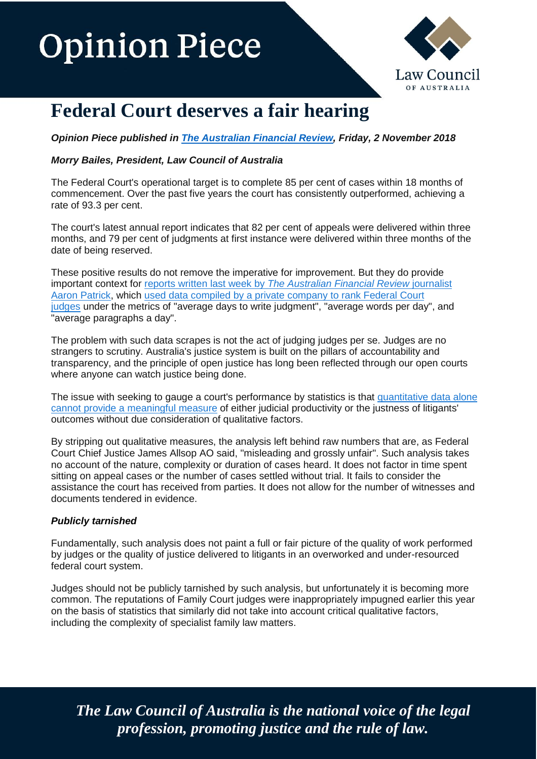# **Opinion Piece**



### **Federal Court deserves a fair hearing**

*Opinion Piece published in [The Australian Financial Review,](https://www.afr.com/business/legal/room-for-improvement-but-federal-court-deserves-a-fair-hearing-20181031-h17czo) Friday, 2 November 2018*

### *Morry Bailes, President, Law Council of Australia*

The Federal Court's operational target is to complete 85 per cent of cases within 18 months of commencement. Over the past five years the court has consistently outperformed, achieving a rate of 93.3 per cent.

The court's latest annual report indicates that 82 per cent of appeals were delivered within three months, and 79 per cent of judgments at first instance were delivered within three months of the date of being reserved.

These positive results do not remove the imperative for improvement. But they do provide important context for reports written last week by *The [Australian](https://www.afr.com/business/legal/in-the-federal-court-speed-of-justice-depends-on-the-judge-20181014-h16mk9) Financial Review* journalist Aaron [Patrick,](https://www.afr.com/business/legal/in-the-federal-court-speed-of-justice-depends-on-the-judge-20181014-h16mk9) which used data compiled by a private [company](https://www.afr.com/business/legal/justice-delayed-federal-court-judgments-can-take-years-to-write-20181026-h174tj) to rank Federal Court [judges](https://www.afr.com/business/legal/justice-delayed-federal-court-judgments-can-take-years-to-write-20181026-h174tj) under the metrics of "average days to write judgment", "average words per day", and "average paragraphs a day".

The problem with such data scrapes is not the act of judging judges per se. Judges are no strangers to scrutiny. Australia's justice system is built on the pillars of accountability and transparency, and the principle of open justice has long been reflected through our open courts where anyone can watch justice being done.

The issue with seeking to gauge a court's performance by statistics is that [quantitative](https://www.afr.com/business/legal/dyson-heydon-was-right-12-months-is-too-long-for-a-judgment-20181017-h16qok) data alone cannot provide a [meaningful](https://www.afr.com/business/legal/dyson-heydon-was-right-12-months-is-too-long-for-a-judgment-20181017-h16qok) measure of either judicial productivity or the justness of litigants' outcomes without due consideration of qualitative factors.

By stripping out qualitative measures, the analysis left behind raw numbers that are, as Federal Court Chief Justice James Allsop AO said, "misleading and grossly unfair". Such analysis takes no account of the nature, complexity or duration of cases heard. It does not factor in time spent sitting on appeal cases or the number of cases settled without trial. It fails to consider the assistance the court has received from parties. It does not allow for the number of witnesses and documents tendered in evidence.

#### *Publicly tarnished*

Fundamentally, such analysis does not paint a full or fair picture of the quality of work performed by judges or the quality of justice delivered to litigants in an overworked and under-resourced federal court system.

Judges should not be publicly tarnished by such analysis, but unfortunately it is becoming more common. The reputations of Family Court judges were inappropriately impugned earlier this year on the basis of statistics that similarly did not take into account critical qualitative factors, including the complexity of specialist family law matters.

*The Law Council of Australia is the national voice of the legal profession, promoting justice and the rule of law.*